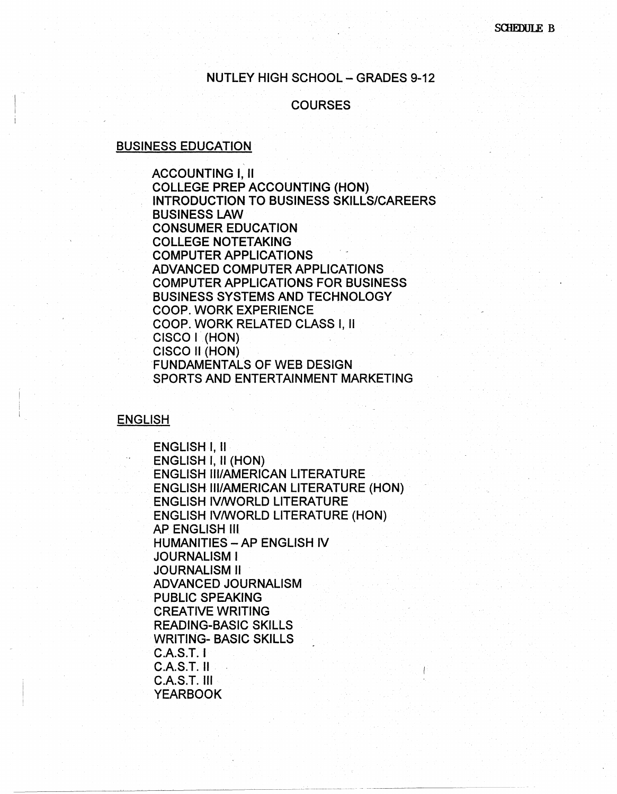### NUTLEY HIGH SCHOOL-GRADES 9-12

#### **COURSES**

### BUSINESS EDUCATION

ACCOUNTING I, II COLLEGE PREP ACCOUNTING (HON) INTRODUCTION TO BUSINESS SKILLS/CAREERS BUSINESS LAW CONSUMER EDUCATION COLLEGE NOTETAKING COMPUTER APPLICATIONS ADVANCED COMPUTER APPLICATIONS COMPUTER APPLICATIONS FOR BUSINESS BUSINESS SYSTEMS AND TECHNOLOGY COOP. WORK EXPERIENCE COOP. WORK RELATED CLASS I, II CISCO I (HON) CISCO II (HON) FUNDAMENTALS OF WEB DESIGN SPORTS AND ENTERTAINMENT MARKETING

#### ENGLISH

ENGLISH I, II ENGLISH I, II (HON) ENGLISH Ill/AMERICAN LITERATURE ENGLISH Ill/AMERICAN LITERATURE (HON) · ENGLISH IV/WORLD LITERATURE ENGLISH IV/WORLD LITERATURE (HON) AP ENGLISH Ill HUMANITIES - AP ENGLISH IV JOURNALISM I JOURNALISM II ADVANCED JOURNALISM PUBLIC SPEAKING CREATIVE WRITING READING-BASIC SKILLS WRITING- BASIC SKILLS C.A.S.T. I  $C.A.S.T.$  II C.A.S.T. Ill YEARBOOK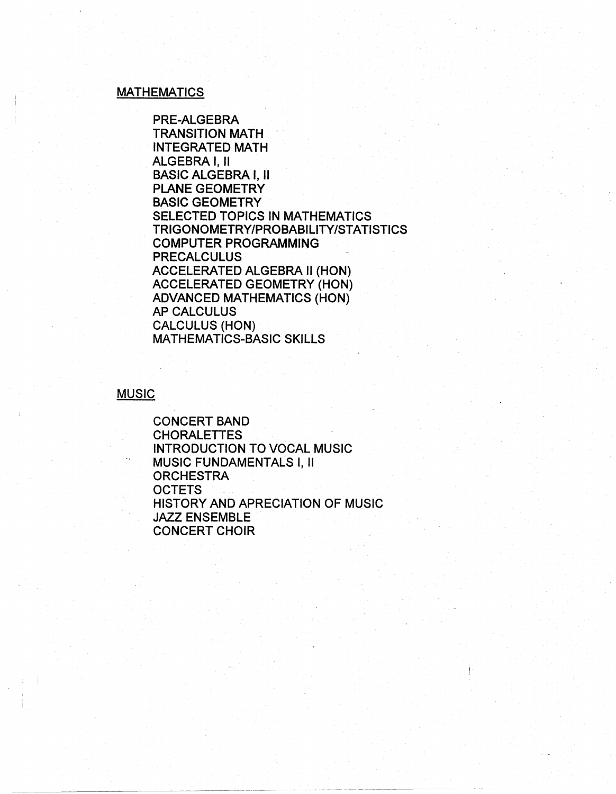# MATHEMATICS

PRE-ALGEBRA TRANSITION MATH INTEGRATED MATH ALGEBRA I, II BASIC ALGEBRA I, II PLANE GEOMETRY BASIC GEOMETRY SELECTED TOPICS IN MATHEMATICS TRIGONOMETRY/PROBABILITY/STATISTICS COMPUTER PROGRAMMING **PRECALCULUS** ACCELERATED ALGEBRA II (HON) ACCELERATED GEOMETRY (HON) ADVANCED MATHEMATICS (HON) AP CALCULUS CALCULUS (HON) MATHEMATICS-BASIC SKILLS

MUSIC

CONCERT BAND CHORALETTES INTRODUCTION TO VOCAL MUSIC MUSIC FUNDAMENTALS I, II **ORCHESTRA** OCTETS HISTORY AND APRECIATION OF MUSIC JAZZ ENSEMBLE CONCERT CHOIR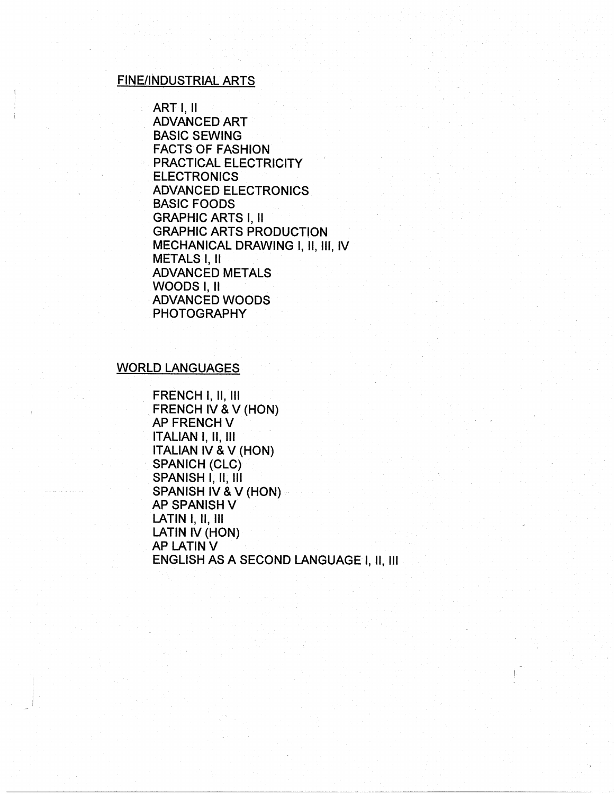### FINE/INDUSTRIAL ARTS

ART I, II ADVANCED ART BASIC SEWING FACTS OF FASHION PRACTICAL ELECTRICITY **ELECTRONICS** ADVANCED ELECTRONICS BASIC FOODS GRAPHIC ARTS I, II GRAPHIC ARTS PRODUCTION MECHANICAL DRAWING I, 11, 111, IV METALS I, II ADVANCED METALS WOODS I, II ADVANCED WOODS PHOTOGRAPHY

### WORLD LANGUAGES

 $\vert \cdot \vert$ I

FRENCH I, II, III FRENCH IV & V (HON) **AP FRENCH V** ITALIAN I, II, Ill ITALIAN IV & V (HON) SPANICH (CLC) SPANISH I, 11, Ill SPANISH IV & V (HON) **AP SPANISH V** LATIN I, II, III LATIN IV (HON) **AP LATIN V** ENGLISH AS A SECOND LANGUAGE I, II, Ill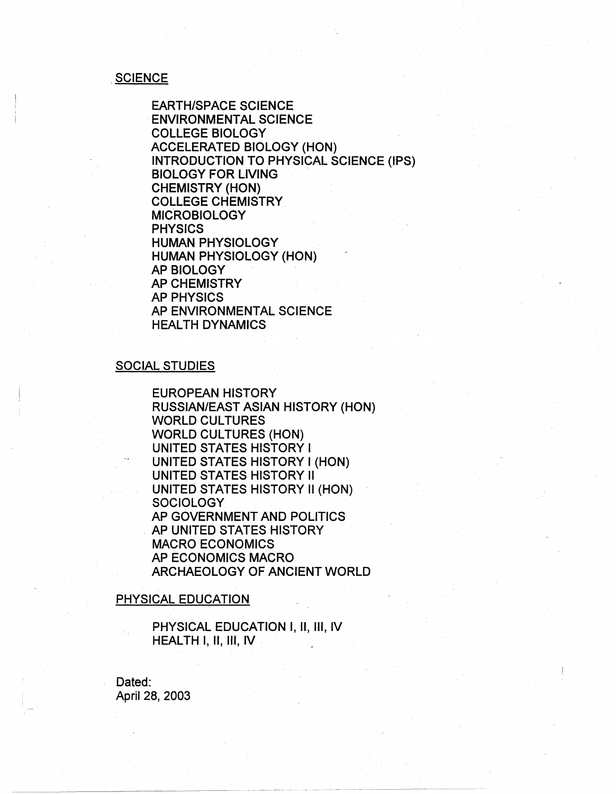### **SCIENCE**

EARTH/SPACE SCIENCE ENVIRONMENTAL SCIENCE COLLEGE BIOLOGY ACCELERATED BIOLOGY (HON) INTRODUCTION TO PHYSICAL SCIENCE (IPS) BIOLOGY FOR LIVING CHEMISTRY (HON) COLLEGE CHEMISTRY MICROBIOLOGY PHYSICS HUMAN PHYSIOLOGY HUMAN PHYSIOLOGY (HON) AP BIOLOGY AP CHEMISTRY AP PHYSICS AP ENVIRONMENTAL SCIENCE HEALTH DYNAMICS

### SOCIAL STUDIES

EUROPEAN HISTORY RUSSIAN/EAST ASIAN HISTORY (HON) WORLD CULTURES WORLD CULTURES (HON) UNITED STATES HISTORY I UNITED STATES HISTORY I (HON) UNITED STATES HISTORY II UNITED STATES HISTORY II (HON) **SOCIOLOGY** AP GOVERNMENT AND POLITICS . AP UNITED STATES HISTORY MACRO ECONOMICS AP ECONOMICS MACRO ARCHAEOLOGY OF ANCIENT WORLD

### PHYSICAL EDUCATION

PHYSICAL EDUCATION I, II, III, IV HEALTH I, II, Ill, IV

Dated: April 28, 2003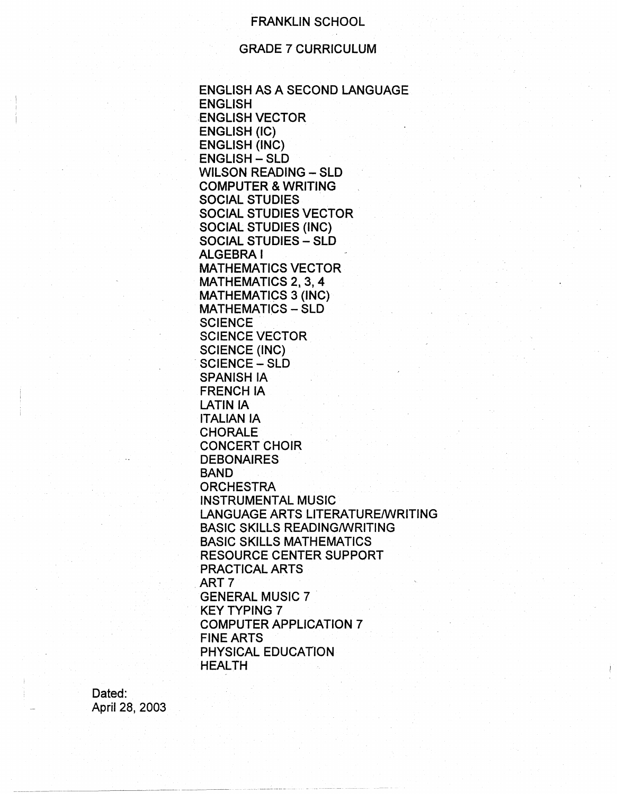# FRANKLIN SCHOOL

# GRADE 7 CURRICULUM

ENGLISH AS A SECOND LANGUAGE ENGLISH ENGLISH VECTOR ENGLISH (IC) ENGLISH (INC) ENGLISH - SLD WILSON READING - SLD COMPUTER & WRITING SOCIAL STUDIES SOCIAL STUDIES VECTOR SOCIAL STUDIES (INC) SOCIAL STUDIES - SLD ALGEBRA I MATHEMATICS VECTOR MATHEMATICS 2, 3, 4 MATHEMATICS 3 (INC) MATHEMATICS - SLD **SCIENCE** SCIENCE VECTOR SCIENCE (INC) SCIENCE - SLD SPANISH IA FRENCH IA LATIN IA ITALIAN IA CHORALE CONCERT CHOIR **DEBONAIRES** BAND **ORCHESTRA** INSTRUMENTAL MUSIC LANGUAGE ARTS LITERATURE/WRITING BASIC SKILLS READING/WRITING BASIC SKILLS MATHEMATICS RESOURCE CENTER SUPPORT PRACTICAL ARTS ART<sub>7</sub> GENERAL MUSIC 7 . . KEY TYPING 7 COMPUTER APPLICATION 7 FINE ARTS PHYSICAL EDUCATION HEALTH

Dated: April 28, 2003

~~~~~~~---~-· -·-····-··----·-·-·----·-· -· - - -- -··-·--------- ------- --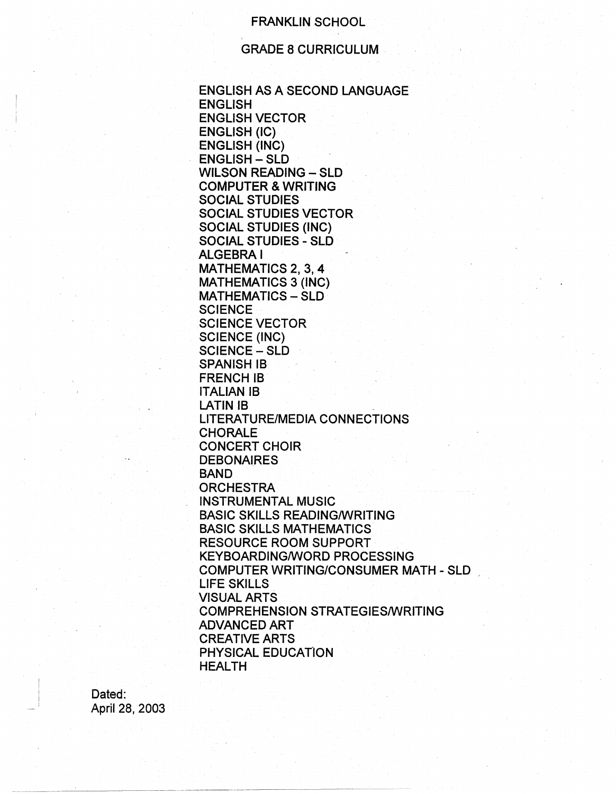# FRANKLIN SCHOOL

# GRADE 8 CURRICULUM

ENGLISH AS A SECOND LANGUAGE ENGLISH ENGLISH VECTOR ENGLISH (IC) ENGLISH (INC) ENGLISH - SLD WILSON READING - SLD COMPUTER & WRITING SOCIAL STUDIES SOCIAL STUDIES VECTOR SOCIAL STUDIES (INC) SOCIAL STUDIES - SLD ALGEBRA! MATHEMATICS 2, 3, 4 MATHEMATICS 3 (INC) MATHEMATICS - SLD **SCIENCE** SCIENCE VECTOR SCIENCE (INC) SCIENCE - SLD SPANISH 18 **FRENCH IB** ITALIAN 18 LATIN **IB** LITERATURE/MEDIA CONNECTIONS CHORALE CONCERT CHOIR **DEBONAIRES** BAND **ORCHESTRA** INSTRUMENTAL MUSIC BASIC SKILLS READING/WRITING BASIC SKILLS MATHEMATICS RESOURCE ROOM SUPPORT KEYBOARDING/WORD PROCESSING COMPUTER WRITING/CONSUMER MATH-SLD LIFE SKILLS VISUAL ARTS COMPREHENSION STRATEGIES/WRITING ADVANCED ART CREATIVE ARTS PHYSICAL EDUCATION HEALTH

Dated: April 28, 2003